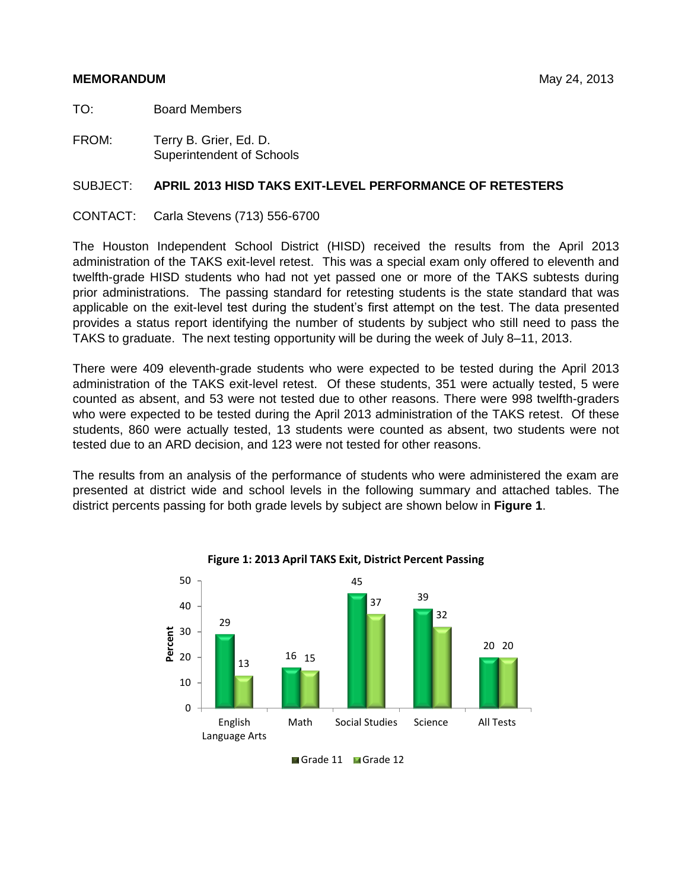# **MEMORANDUM** May 24, 2013

TO: Board Members

FROM: Terry B. Grier, Ed. D. Superintendent of Schools

# SUBJECT: **APRIL 2013 HISD TAKS EXIT-LEVEL PERFORMANCE OF RETESTERS**

CONTACT: Carla Stevens (713) 556-6700

The Houston Independent School District (HISD) received the results from the April 2013 administration of the TAKS exit-level retest. This was a special exam only offered to eleventh and twelfth-grade HISD students who had not yet passed one or more of the TAKS subtests during prior administrations. The passing standard for retesting students is the state standard that was applicable on the exit-level test during the student's first attempt on the test. The data presented provides a status report identifying the number of students by subject who still need to pass the TAKS to graduate. The next testing opportunity will be during the week of July 8–11, 2013.

There were 409 eleventh-grade students who were expected to be tested during the April 2013 administration of the TAKS exit-level retest. Of these students, 351 were actually tested, 5 were counted as absent, and 53 were not tested due to other reasons. There were 998 twelfth-graders who were expected to be tested during the April 2013 administration of the TAKS retest. Of these students, 860 were actually tested, 13 students were counted as absent, two students were not tested due to an ARD decision, and 123 were not tested for other reasons.

The results from an analysis of the performance of students who were administered the exam are presented at district wide and school levels in the following summary and attached tables. The district percents passing for both grade levels by subject are shown below in **Figure 1**.



**Figure 1: 2013 April TAKS Exit, District Percent Passing**

Grade 11 Grade 12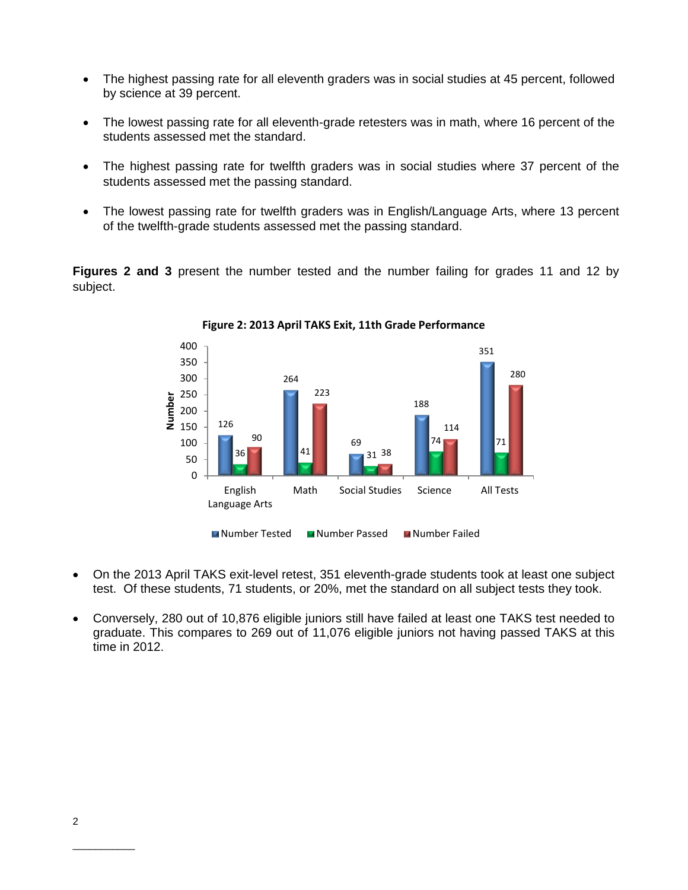- The highest passing rate for all eleventh graders was in social studies at 45 percent, followed by science at 39 percent.
- The lowest passing rate for all eleventh-grade retesters was in math, where 16 percent of the students assessed met the standard.
- The highest passing rate for twelfth graders was in social studies where 37 percent of the students assessed met the passing standard.
- The lowest passing rate for twelfth graders was in English/Language Arts, where 13 percent of the twelfth-grade students assessed met the passing standard.

**Figures 2 and 3** present the number tested and the number failing for grades 11 and 12 by subject.



**Figure 2: 2013 April TAKS Exit, 11th Grade Performance**

- On the 2013 April TAKS exit-level retest, 351 eleventh-grade students took at least one subject test. Of these students, 71 students, or 20%, met the standard on all subject tests they took.
- Conversely, 280 out of 10,876 eligible juniors still have failed at least one TAKS test needed to graduate. This compares to 269 out of 11,076 eligible juniors not having passed TAKS at this time in 2012.

\_\_\_\_\_\_\_\_\_\_\_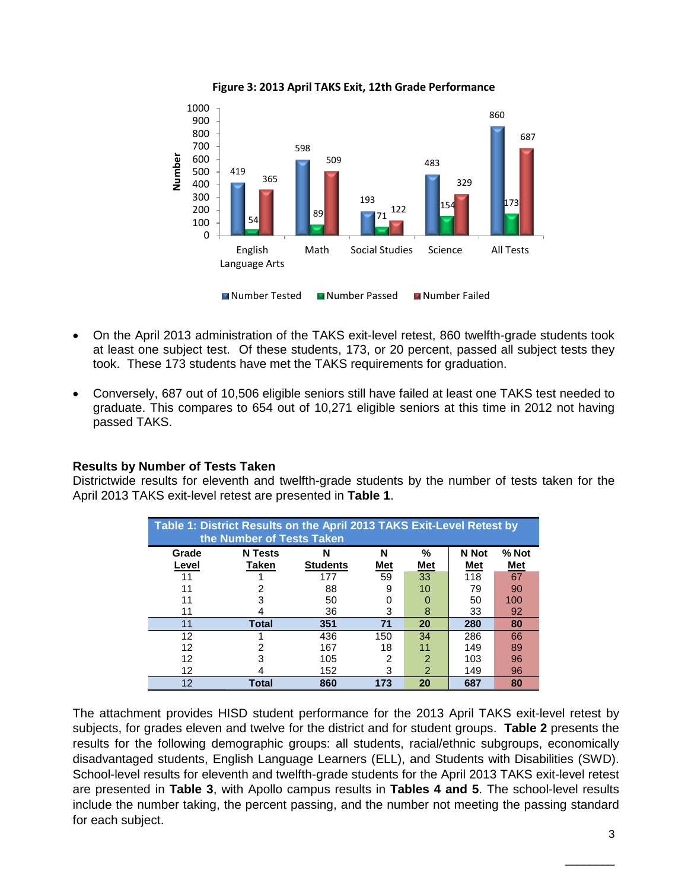

**Figure 3: 2013 April TAKS Exit, 12th Grade Performance**

- On the April 2013 administration of the TAKS exit-level retest, 860 twelfth-grade students took at least one subject test. Of these students, 173, or 20 percent, passed all subject tests they took. These 173 students have met the TAKS requirements for graduation.
- Conversely, 687 out of 10,506 eligible seniors still have failed at least one TAKS test needed to graduate. This compares to 654 out of 10,271 eligible seniors at this time in 2012 not having passed TAKS.

# **Results by Number of Tests Taken**

Districtwide results for eleventh and twelfth-grade students by the number of tests taken for the April 2013 TAKS exit-level retest are presented in **Table 1**.

|       | Table 1: District Results on the April 2013 TAKS Exit-Level Retest by<br>the Number of Tests Taken |                 |            |            |       |       |  |  |  |  |  |  |  |  |  |
|-------|----------------------------------------------------------------------------------------------------|-----------------|------------|------------|-------|-------|--|--|--|--|--|--|--|--|--|
| Grade | <b>N</b> Tests                                                                                     | N               | N          | %          | N Not | % Not |  |  |  |  |  |  |  |  |  |
| Level | Taken                                                                                              | <b>Students</b> | <u>Met</u> | <u>Met</u> | Met   | Met   |  |  |  |  |  |  |  |  |  |
|       |                                                                                                    | 177             | 59         | 33         | 118   | 67    |  |  |  |  |  |  |  |  |  |
| 11    |                                                                                                    | 88              | 9          | 10         | 79    | 90    |  |  |  |  |  |  |  |  |  |
| 11    | з                                                                                                  | 50              | 0          |            | 50    | 100   |  |  |  |  |  |  |  |  |  |
| 11    |                                                                                                    | 36              | 3          | 8          | 33    | 92    |  |  |  |  |  |  |  |  |  |
| 11    | <b>Total</b>                                                                                       | 351             | 71         | 20         | 280   | 80    |  |  |  |  |  |  |  |  |  |
| 12    |                                                                                                    | 436             | 150        | 34         | 286   | 66    |  |  |  |  |  |  |  |  |  |
| 12    | 2                                                                                                  | 167             | 18         | 11         | 149   | 89    |  |  |  |  |  |  |  |  |  |
| 12    | з                                                                                                  | 105             | 2          | 2          | 103   | 96    |  |  |  |  |  |  |  |  |  |
| 12    |                                                                                                    | 152             | 3          | 2          | 149   | 96    |  |  |  |  |  |  |  |  |  |
| 12    | Total                                                                                              | 860             | 173        | 20         | 687   | 80    |  |  |  |  |  |  |  |  |  |

The attachment provides HISD student performance for the 2013 April TAKS exit-level retest by subjects, for grades eleven and twelve for the district and for student groups. **Table 2** presents the results for the following demographic groups: all students, racial/ethnic subgroups, economically disadvantaged students, English Language Learners (ELL), and Students with Disabilities (SWD). School-level results for eleventh and twelfth-grade students for the April 2013 TAKS exit-level retest are presented in **Table 3**, with Apollo campus results in **Tables 4 and 5**. The school-level results include the number taking, the percent passing, and the number not meeting the passing standard for each subject.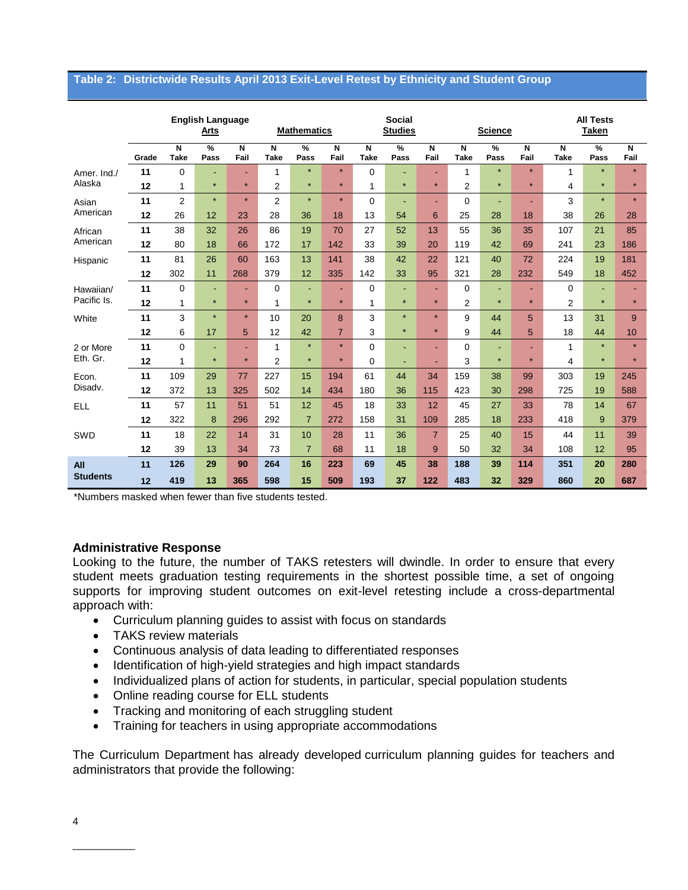#### **Table 2: Districtwide Results April 2013 Exit-Level Retest by Ethnicity and Student Group**

|                 |       |                  | <b>English Language</b><br>Arts |           |                               | <b>Social</b><br><b>Mathematics</b><br><b>Studies</b> |                |                                        |           |                |                  | <b>Science</b> |           | <b>All Tests</b><br><b>Taken</b> |           |           |
|-----------------|-------|------------------|---------------------------------|-----------|-------------------------------|-------------------------------------------------------|----------------|----------------------------------------|-----------|----------------|------------------|----------------|-----------|----------------------------------|-----------|-----------|
|                 | Grade | N<br><b>Take</b> | %<br>Pass                       | N<br>Fail | $\overline{N}$<br><b>Take</b> | %<br>Pass                                             | N<br>Fail      | $\overline{\mathsf{N}}$<br><b>Take</b> | %<br>Pass | N<br>Fail      | N<br><b>Take</b> | %<br>Pass      | N<br>Fail | N<br><b>Take</b>                 | %<br>Pass | N<br>Fail |
| Amer. Ind./     | 11    | 0                | ٠                               | ٠         | 1                             | $\star$                                               | $\star$        | 0                                      | ٠         | ٠              | 1                | $\star$        | $\star$   | 1                                | $\star$   | $\star$   |
| Alaska          | 12    | 1                | $\star$                         | $\star$   | $\overline{2}$                | $\star$                                               | $\star$        | 1                                      | $\star$   | $\star$        | $\overline{2}$   | $\star$        | $\star$   | 4                                | $\star$   | $\star$   |
| Asian           | 11    | $\overline{2}$   | $\star$                         | $\star$   | $\overline{2}$                | $\star$                                               | $\star$        | $\Omega$                               | ٠         | ٠              | $\Omega$         | ٠              | ٠         | 3                                | $\star$   | $\star$   |
| American        | 12    | 26               | 12                              | 23        | 28                            | 36                                                    | 18             | 13                                     | 54        | 6              | 25               | 28             | 18        | 38                               | 26        | 28        |
| African         | 11    | 38               | 32                              | 26        | 86                            | 19                                                    | 70             | 27                                     | 52        | 13             | 55               | 36             | 35        | 107                              | 21        | 85        |
| American        | 12    | 80               | 18                              | 66        | 172                           | 17                                                    | 142            | 33                                     | 39        | 20             | 119              | 42             | 69        | 241                              | 23        | 186       |
| Hispanic        | 11    | 81               | 26                              | 60        | 163                           | 13                                                    | 141            | 38                                     | 42        | 22             | 121              | 40             | 72        | 224                              | 19        | 181       |
|                 | 12    | 302              | 11                              | 268       | 379                           | 12                                                    | 335            | 142                                    | 33        | 95             | 321              | 28             | 232       | 549                              | 18        | 452       |
| Hawaiian/       | 11    | 0                | ٠                               | Ē.        | $\Omega$                      | ٠                                                     | ٠              | $\Omega$                               | ä,        | ÷,             | $\Omega$         | ٠              | ٠         | $\Omega$                         |           |           |
| Pacific Is.     | 12    | 1                | $\star$                         | $\star$   | 1                             | $\star$                                               | $\star$        | 1                                      | $\star$   | $\star$        | 2                | $\star$        | $\star$   | $\overline{2}$                   | $\star$   | $\star$   |
| White           | 11    | 3                | $\star$                         | $\star$   | 10                            | 20                                                    | 8              | 3                                      | $\star$   | $\star$        | 9                | 44             | 5         | 13                               | 31        | 9         |
|                 | 12    | 6                | 17                              | 5         | 12                            | 42                                                    | $\overline{7}$ | 3                                      | $\star$   | $\star$        | 9                | 44             | 5         | 18                               | 44        | 10        |
| 2 or More       | 11    | 0                | ٠                               | ٠         | 1                             | $\star$                                               | $\star$        | $\Omega$                               |           | ٠              | $\Omega$         | ٠              | $\sim$    | 1                                | $\star$   | $\star$   |
| Eth. Gr.        | 12    | 1                | $\star$                         | $\star$   | $\overline{2}$                | $\star$                                               | $\star$        | $\Omega$                               | ٠         | ٠              | 3                | $\star$        | $\star$   | 4                                | $\star$   | $\star$   |
| Econ.           | 11    | 109              | 29                              | 77        | 227                           | 15                                                    | 194            | 61                                     | 44        | 34             | 159              | 38             | 99        | 303                              | 19        | 245       |
| Disadv.         | 12    | 372              | 13                              | 325       | 502                           | 14                                                    | 434            | 180                                    | 36        | 115            | 423              | 30             | 298       | 725                              | 19        | 588       |
| <b>ELL</b>      | 11    | 57               | 11                              | 51        | 51                            | 12                                                    | 45             | 18                                     | 33        | 12             | 45               | 27             | 33        | 78                               | 14        | 67        |
|                 | 12    | 322              | 8                               | 296       | 292                           | $\overline{7}$                                        | 272            | 158                                    | 31        | 109            | 285              | 18             | 233       | 418                              | 9         | 379       |
| SWD             | 11    | 18               | 22                              | 14        | 31                            | 10                                                    | 28             | 11                                     | 36        | $\overline{7}$ | 25               | 40             | 15        | 44                               | 11        | 39        |
|                 | 12    | 39               | 13                              | 34        | 73                            | $\overline{7}$                                        | 68             | 11                                     | 18        | 9              | 50               | 32             | 34        | 108                              | 12        | 95        |
| All             | 11    | 126              | 29                              | 90        | 264                           | 16                                                    | 223            | 69                                     | 45        | 38             | 188              | 39             | 114       | 351                              | 20        | 280       |
| <b>Students</b> | 12    | 419              | 13                              | 365       | 598                           | 15                                                    | 509            | 193                                    | 37        | 122            | 483              | 32             | 329       | 860                              | 20        | 687       |

\*Numbers masked when fewer than five students tested.

# **Administrative Response**

Looking to the future, the number of TAKS retesters will dwindle. In order to ensure that every student meets graduation testing requirements in the shortest possible time, a set of ongoing supports for improving student outcomes on exit-level retesting include a cross-departmental approach with:

- Curriculum planning guides to assist with focus on standards
- TAKS review materials
- Continuous analysis of data leading to differentiated responses
- Identification of high-yield strategies and high impact standards
- Individualized plans of action for students, in particular, special population students
- Online reading course for ELL students
- Tracking and monitoring of each struggling student
- Training for teachers in using appropriate accommodations

The Curriculum Department has already developed curriculum planning guides for teachers and administrators that provide the following:

\_\_\_\_\_\_\_\_\_\_\_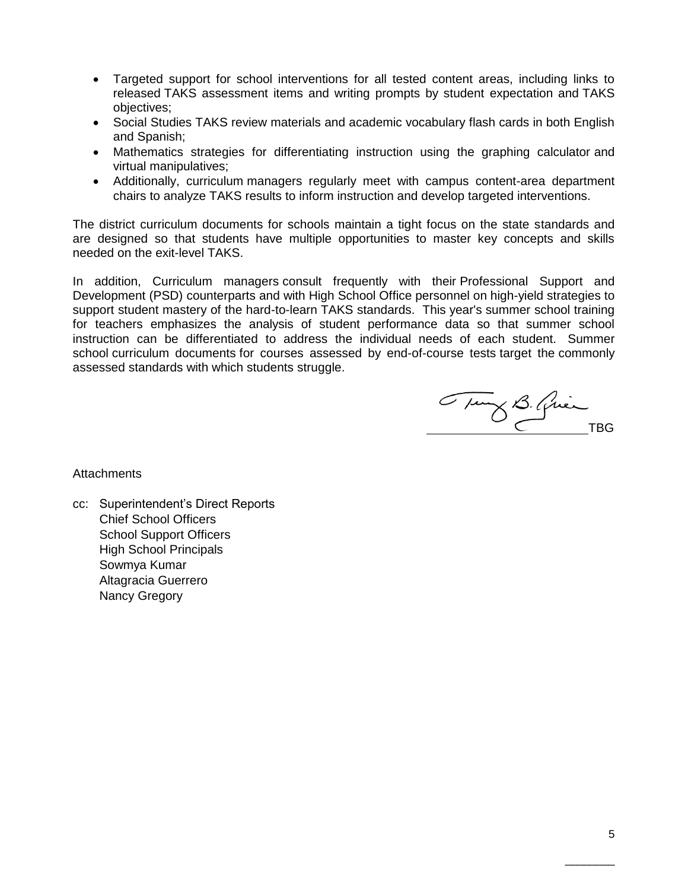- Targeted support for school interventions for all tested content areas, including links to released TAKS assessment items and writing prompts by student expectation and TAKS objectives;
- Social Studies TAKS review materials and academic vocabulary flash cards in both English and Spanish;
- Mathematics strategies for differentiating instruction using the graphing calculator and virtual manipulatives;
- Additionally, curriculum managers regularly meet with campus content-area department chairs to analyze TAKS results to inform instruction and develop targeted interventions.

The district curriculum documents for schools maintain a tight focus on the state standards and are designed so that students have multiple opportunities to master key concepts and skills needed on the exit-level TAKS.

In addition, Curriculum managers consult frequently with their Professional Support and Development (PSD) counterparts and with High School Office personnel on high-yield strategies to support student mastery of the hard-to-learn TAKS standards. This year's summer school training for teachers emphasizes the analysis of student performance data so that summer school instruction can be differentiated to address the individual needs of each student. Summer school curriculum documents for courses assessed by end-of-course tests target the commonly assessed standards with which students struggle.

Tury B. Quinche

**Attachments** 

cc: Superintendent's Direct Reports Chief School Officers School Support Officers High School Principals Sowmya Kumar Altagracia Guerrero Nancy Gregory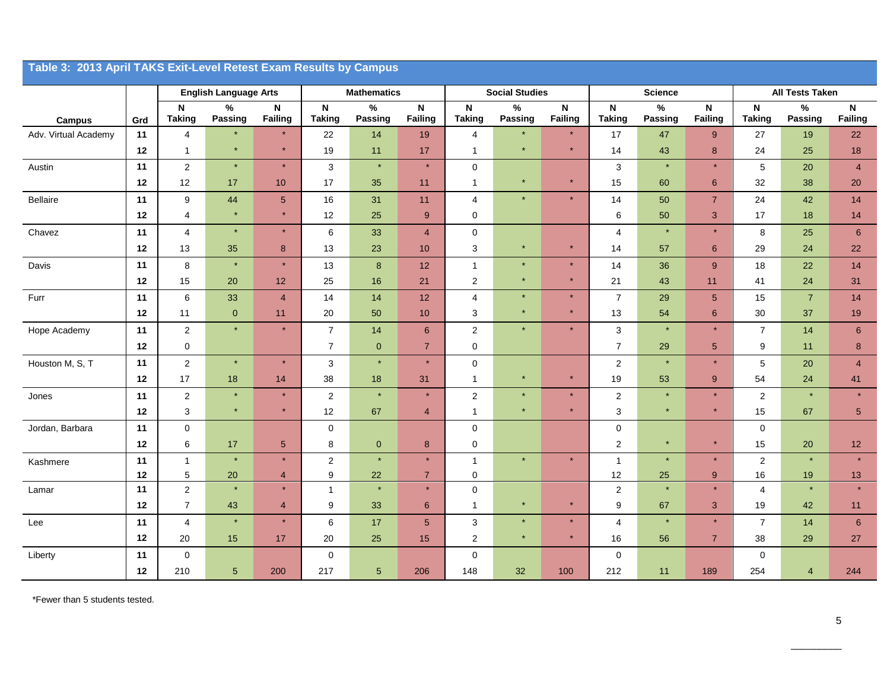|                      | Table 3: 2013 April TAKS Exit-Level Retest Exam Results by Campus |                         |                              |                                             |                                            |                        |                           |                              |                       |                                      |                                            |                 |                               |                              |                        |                      |
|----------------------|-------------------------------------------------------------------|-------------------------|------------------------------|---------------------------------------------|--------------------------------------------|------------------------|---------------------------|------------------------------|-----------------------|--------------------------------------|--------------------------------------------|-----------------|-------------------------------|------------------------------|------------------------|----------------------|
|                      |                                                                   |                         | <b>English Language Arts</b> |                                             |                                            | <b>Mathematics</b>     |                           |                              | <b>Social Studies</b> |                                      |                                            | <b>Science</b>  |                               |                              | <b>All Tests Taken</b> |                      |
| <b>Campus</b>        | Grd                                                               | N<br><b>Taking</b>      | $\%$<br>Passing              | $\boldsymbol{\mathsf{N}}$<br><b>Failing</b> | $\boldsymbol{\mathsf{N}}$<br><b>Taking</b> | $\%$<br><b>Passing</b> | $\mathsf{N}$<br>Failing   | $\mathsf N$<br><b>Taking</b> | $\%$<br>Passing       | $\boldsymbol{\mathsf{N}}$<br>Failing | $\boldsymbol{\mathsf{N}}$<br><b>Taking</b> | $\%$<br>Passing | $\mathsf N$<br><b>Failing</b> | $\mathsf N$<br><b>Taking</b> | $\%$<br><b>Passing</b> | ${\sf N}$<br>Failing |
| Adv. Virtual Academy | 11                                                                | $\overline{4}$          | $\star$                      | $\star$                                     | 22                                         | 14                     | 19                        | $\overline{4}$               |                       | $\star$                              | 17                                         | 47              | $\boldsymbol{9}$              | 27                           | 19                     | 22                   |
|                      | 12                                                                | $\mathbf{1}$            |                              |                                             | 19                                         | 11                     | 17                        | $\mathbf{1}$                 |                       | $\star$                              | 14                                         | 43              | $\bf 8$                       | 24                           | 25                     | 18                   |
| Austin               | 11                                                                | $\boldsymbol{2}$        | $\star$                      | $\star$                                     | 3                                          | $\star$                | $\star$                   | $\mathbf 0$                  |                       |                                      | $\sqrt{3}$                                 | $\star$         | $\star$                       | 5                            | 20                     | $\overline{4}$       |
|                      | 12                                                                | 12                      | 17                           | 10                                          | 17                                         | 35                     | 11                        | $\mathbf{1}$                 | $\star$               | $\star$                              | 15                                         | 60              | 6                             | 32                           | 38                     | 20                   |
| Bellaire             | 11                                                                | 9                       | 44                           | $\sqrt{5}$                                  | 16                                         | 31                     | 11                        | 4                            | $\star$               | $\star$                              | 14                                         | 50              | $\overline{7}$                | 24                           | 42                     | 14                   |
|                      | 12                                                                | 4                       | $\star$                      | $\star$                                     | 12                                         | 25                     | 9                         | $\mathbf 0$                  |                       |                                      | $\,6\,$                                    | 50              | $\sqrt{3}$                    | 17                           | 18                     | 14                   |
| Chavez               | 11                                                                | $\overline{4}$          | $\star$                      | $\star$                                     | 6                                          | 33                     | $\overline{4}$            | $\pmb{0}$                    |                       |                                      | $\overline{4}$                             | $\star$         | $\star$                       | 8                            | 25                     | 6                    |
|                      | 12                                                                | 13                      | 35                           | 8                                           | 13                                         | 23                     | 10                        | 3                            | $\star$               | $\star$                              | 14                                         | 57              | 6                             | 29                           | 24                     | 22                   |
| Davis                | 11                                                                | $\bf8$                  | $\star$                      | $\star$                                     | 13                                         | $\bf 8$                | 12                        | $\mathbf{1}$                 |                       | $\star$                              | 14                                         | 36              | 9                             | 18                           | 22                     | 14                   |
|                      | 12                                                                | 15                      | 20                           | 12                                          | 25                                         | 16                     | 21                        | $\mathbf 2$                  |                       | $\star$                              | 21                                         | 43              | 11                            | 41                           | 24                     | 31                   |
| Furr                 | 11                                                                | 6                       | 33                           | $\overline{4}$                              | 14                                         | 14                     | 12                        | $\overline{4}$               | $\star$               | $\star$                              | $\overline{7}$                             | 29              | $\sqrt{5}$                    | 15                           | $\overline{7}$         | 14                   |
|                      | 12                                                                | 11                      | $\mathbf{0}$                 | 11                                          | 20                                         | 50                     | 10                        | 3                            | $\star$               | $\star$                              | 13                                         | 54              | $6\phantom{1}6$               | 30                           | 37                     | 19                   |
| Hope Academy         | 11                                                                | $\overline{\mathbf{c}}$ | $\star$                      | $\star$                                     | $\overline{7}$                             | 14                     | $6\phantom{1}$            | $\sqrt{2}$                   | $\star$               | $\star$                              | $\mathsf 3$                                | $\star$         | $\star$                       | $\overline{7}$               | 14                     | $\boldsymbol{6}$     |
|                      | 12                                                                | $\pmb{0}$               |                              |                                             | $\overline{7}$                             | $\overline{0}$         | $\overline{7}$            | $\mathbf 0$                  |                       |                                      | $\overline{7}$                             | 29              | $\sqrt{5}$                    | 9                            | 11                     | $\bf8$               |
| Houston M, S, T      | 11                                                                | $\boldsymbol{2}$        | $\star$                      | $\star$                                     | 3                                          | $\star$                | $\star$                   | $\mathbf 0$                  |                       |                                      | 2                                          | $\star$         | $\star$                       | 5                            | 20                     | $\overline{4}$       |
|                      | 12                                                                | 17                      | 18                           | 14                                          | 38                                         | 18                     | 31                        | $\mathbf{1}$                 | $\star$               | $\star$                              | 19                                         | 53              | 9                             | 54                           | 24                     | 41                   |
| Jones                | 11                                                                | $\sqrt{2}$              | $\star$                      | $\star$                                     | $\overline{2}$                             | $\star$                | $\star$                   | $\sqrt{2}$                   |                       | $\star$                              | $\overline{c}$                             | $\star$         | $\star$                       | $\overline{c}$               |                        | $\star$              |
|                      | 12                                                                | 3                       | $\star$                      |                                             | 12                                         | 67                     | $\overline{4}$            | $\mathbf{1}$                 |                       | $\star$                              | $\sqrt{3}$                                 | $\star$         | $\star$                       | 15                           | 67                     | $\sqrt{5}$           |
| Jordan, Barbara      | 11                                                                | 0                       |                              |                                             | $\mathbf 0$                                |                        |                           | $\mathbf 0$                  |                       |                                      | 0                                          |                 |                               | $\mathbf 0$                  |                        |                      |
|                      | 12                                                                | 6                       | 17                           | $5\phantom{1}$                              | 8                                          | $\mathbf{0}$           | 8                         | $\mathbf 0$                  |                       |                                      | $\overline{2}$                             | $\star$         | $\star$                       | 15                           | 20                     | 12                   |
| Kashmere             | 11                                                                | $\mathbf{1}$            |                              | $\star$                                     | $\overline{2}$                             | $\star$                | $\star$                   | $\mathbf{1}$                 | $\star$               | $\star$                              | $\mathbf{1}$                               | $\star$         | $\star$                       | $\mathbf{2}$                 |                        | $\star$              |
|                      | 12                                                                | $\,$ 5 $\,$             | $20\,$                       | $\overline{4}$<br>$\star$                   | 9                                          | 22<br>$\star$          | $\overline{7}$<br>$\star$ | $\mathbf 0$                  |                       |                                      | 12                                         | 25<br>$\star$   | $9$<br>$\star$                | 16                           | 19                     | 13                   |
| Lamar                | 11                                                                | $\sqrt{2}$              |                              |                                             | $\overline{1}$                             |                        |                           | $\pmb{0}$<br>$\mathbf{1}$    |                       | $\star$                              | $\sqrt{2}$                                 |                 |                               | 4                            |                        |                      |
|                      | 12                                                                | $\overline{7}$          | 43<br>$\star$                | $\overline{4}$<br>$\star$                   | 9                                          | 33                     | $\,6\,$                   |                              | $\star$               | $\star$                              | $\boldsymbol{9}$                           | 67<br>$\star$   | $\sqrt{3}$<br>$\star$         | 19                           | 42                     | 11                   |
| Lee                  | 11<br>12                                                          | 4<br>20                 | 15                           | 17                                          | 6<br>$20\,$                                | 17<br>25               | $5\phantom{.0}$<br>15     | 3<br>$\boldsymbol{2}$        | $\star$               | $\star$                              | 4<br>16                                    | 56              | $\overline{7}$                | $\overline{7}$<br>38         | 14<br>29               | 6<br>27              |
| Liberty              | 11                                                                | $\pmb{0}$               |                              |                                             | $\mathbf 0$                                |                        |                           | $\mathbf 0$                  |                       |                                      | $\mathbf 0$                                |                 |                               | $\mathbf 0$                  |                        |                      |
|                      | 12                                                                | 210                     | $\overline{5}$               | 200                                         | 217                                        | $\sqrt{5}$             | 206                       | 148                          | 32                    | 100                                  | 212                                        | 11              | 189                           | 254                          | 4                      | 244                  |

\*Fewer than 5 students tested.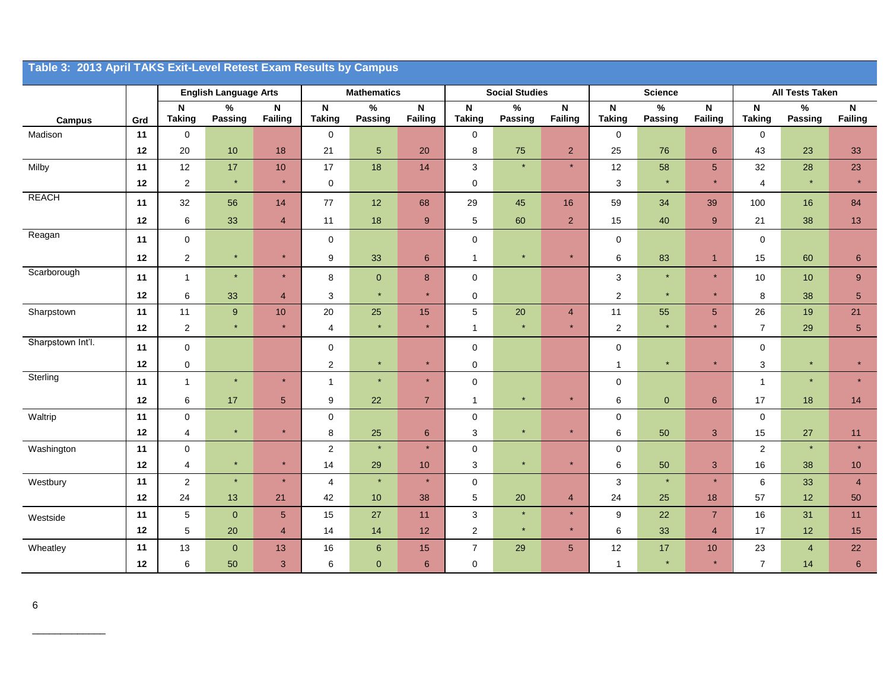| Table 3: 2013 April TAKS Exit-Level Retest Exam Results by Campus |      |                              |                              |                        |                                      |                    |                     |                              |                       |                                      |                              |                 |                |                                      |                        |                 |
|-------------------------------------------------------------------|------|------------------------------|------------------------------|------------------------|--------------------------------------|--------------------|---------------------|------------------------------|-----------------------|--------------------------------------|------------------------------|-----------------|----------------|--------------------------------------|------------------------|-----------------|
|                                                                   |      |                              | <b>English Language Arts</b> |                        |                                      | <b>Mathematics</b> |                     |                              | <b>Social Studies</b> |                                      |                              | <b>Science</b>  |                |                                      | <b>All Tests Taken</b> |                 |
| <b>Campus</b>                                                     | Grd  | $\mathbf N$<br><b>Taking</b> | $\%$<br>Passing              | $\mathsf N$<br>Failing | $\mathsf{N}\xspace$<br><b>Taking</b> | $\%$<br>Passing    | N<br><b>Failing</b> | $\mathsf N$<br><b>Taking</b> | $\%$<br>Passing       | $\boldsymbol{\mathsf{N}}$<br>Failing | $\mathsf N$<br><b>Taking</b> | $\%$<br>Passing | N<br>Failing   | $\mathsf{N}\xspace$<br><b>Taking</b> | $\%$<br>Passing        | N<br>Failing    |
| Madison                                                           | 11   | $\pmb{0}$                    |                              |                        | $\mathbf 0$                          |                    |                     | $\mathbf 0$                  |                       |                                      | 0                            |                 |                | 0                                    |                        |                 |
|                                                                   | 12   | 20                           | 10                           | 18                     | 21                                   | $\sqrt{5}$         | 20                  | 8                            | 75                    | $\overline{2}$                       | 25                           | 76              | $\,6\,$        | 43                                   | 23                     | 33              |
| Milby                                                             | 11   | 12                           | 17                           | 10                     | 17                                   | 18                 | 14                  | $\mathbf{3}$                 | $\star$               | $\star$                              | 12                           | 58              | $\sqrt{5}$     | 32                                   | 28                     | 23              |
|                                                                   | 12   | $\mathbf{2}$                 | $\star$                      | $\star$                | $\pmb{0}$                            |                    |                     | 0                            |                       |                                      | $\ensuremath{\mathsf{3}}$    | $\star$         | $\star$        | 4                                    | $\star$                | $\star$         |
| <b>REACH</b>                                                      | 11   | 32                           | 56                           | 14                     | 77                                   | 12                 | 68                  | 29                           | 45                    | 16                                   | 59                           | 34              | 39             | 100                                  | 16                     | 84              |
|                                                                   | 12   | 6                            | 33                           | $\overline{4}$         | 11                                   | 18                 | 9                   | 5                            | 60                    | $\overline{2}$                       | 15                           | 40              | $9\,$          | 21                                   | 38                     | 13              |
| Reagan                                                            | 11   | $\mathsf 0$                  |                              |                        | $\mathbf 0$                          |                    |                     | $\mathsf 0$                  |                       |                                      | $\pmb{0}$                    |                 |                | $\mathbf 0$                          |                        |                 |
|                                                                   | 12   | 2                            | $\star$                      | $\star$                | 9                                    | 33                 | 6                   | $\overline{1}$               | $\star$               | $\star$                              | 6                            | 83              | $\mathbf{1}$   | 15                                   | 60                     | $6\phantom{1}6$ |
| Scarborough                                                       | 11   | $\mathbf{1}$                 | $\star$                      | $\star$                | 8                                    | $\pmb{0}$          | 8                   | $\mathbf 0$                  |                       |                                      | 3                            | $\star$         | $\star$        | 10                                   | 10                     | $9\,$           |
|                                                                   | 12   | 6                            | 33                           | $\overline{4}$         | $\mathbf{3}$                         | $\star$            | $\star$             | $\mathsf 0$                  |                       |                                      | $\boldsymbol{2}$             | $\star$         | $\star$        | 8                                    | 38                     | $\sqrt{5}$      |
| Sharpstown                                                        | 11   | 11                           | $\boldsymbol{9}$             | $10$                   | 20                                   | 25                 | 15                  | $5\,$                        | 20                    | $\overline{4}$                       | 11                           | 55              | $\sqrt{5}$     | 26                                   | 19                     | 21              |
|                                                                   | 12   | $\overline{\mathbf{c}}$      | $\star$                      | $\star$                | $\overline{4}$                       | $\star$            | $\star$             | $\overline{1}$               | $\star$               | $\star$                              | $\mathbf 2$                  | $\star$         | $\star$        | $\overline{7}$                       | 29                     | $\sqrt{5}$      |
| Sharpstown Int'l.                                                 | 11   | 0                            |                              |                        | $\mathbf 0$                          |                    |                     | $\mathbf 0$                  |                       |                                      | $\mathbf 0$                  |                 |                | $\mathbf 0$                          |                        |                 |
|                                                                   | $12$ | $\pmb{0}$                    |                              |                        | $\overline{c}$                       | $\star$            | $\star$             | 0                            |                       |                                      | $\mathbf{1}$                 | $\star$         | $\star$        | 3                                    | $\star$                | $\star$         |
| Sterling                                                          | 11   | $\mathbf{1}$                 | $\star$                      | $\star$                | $\overline{1}$                       | $\star$            | $\star$             | $\mathsf{O}\xspace$          |                       |                                      | $\mathbf 0$                  |                 |                | $\overline{1}$                       | $\star$                | $\star$         |
|                                                                   | 12   | 6                            | 17                           | $5\phantom{.0}$        | 9                                    | 22                 | $\overline{7}$      | $\overline{1}$               | $\star$               | $\star$                              | 6                            | $\mathbf 0$     | $6\phantom{1}$ | 17                                   | 18                     | 14              |
| Waltrip                                                           | 11   | 0                            |                              |                        | 0                                    |                    |                     | $\mathsf 0$                  |                       |                                      | $\pmb{0}$                    |                 |                | $\mathbf 0$                          |                        |                 |
|                                                                   | 12   | $\overline{4}$               | $\star$                      |                        | 8                                    | 25                 | $6\phantom{1}$      | 3                            |                       | $\star$                              | 6                            | 50              | 3              | 15                                   | 27                     | 11              |
| Washington                                                        | 11   | $\mathsf 0$                  |                              |                        | 2                                    | $\star$            | $\star$             | $\mathsf 0$                  |                       |                                      | $\pmb{0}$                    |                 |                | $\overline{2}$                       | $\star$                | $\star$         |
|                                                                   | 12   | 4                            | $\star$                      | $\star$                | 14                                   | 29                 | 10                  | 3                            |                       | $\star$                              | 6                            | 50              | 3              | 16                                   | 38                     | 10 <sup>°</sup> |
| Westbury                                                          | 11   | 2                            | $\star$                      | $\star$                | $\overline{4}$                       | $\star$            | $\star$             | $\mathsf 0$                  |                       |                                      | $\ensuremath{\mathsf{3}}$    | $\star$         | $\star$        | 6                                    | 33                     | $\overline{4}$  |
|                                                                   | 12   | 24                           | 13                           | 21                     | 42                                   | 10                 | 38                  | 5                            | 20                    | $\overline{4}$                       | 24                           | 25              | 18             | 57                                   | 12                     | 50              |
| Westside                                                          | 11   | 5                            | $\mathbf 0$                  | $\sqrt{5}$             | 15                                   | 27                 | 11                  | $\mathbf{3}$                 |                       | $\star$                              | 9                            | 22              | $\overline{7}$ | 16                                   | 31                     | 11              |
|                                                                   | 12   | 5                            | 20                           | $\overline{4}$         | 14                                   | 14                 | 12                  | $\overline{2}$               | $\star$               | $\star$                              | $\,6$                        | 33              | $\overline{4}$ | 17                                   | 12                     | 15              |
| Wheatley                                                          | 11   | 13                           | $\mathbf{0}$                 | 13                     | 16                                   | $6\phantom{1}6$    | 15                  | $\overline{7}$               | 29                    | 5 <sup>5</sup>                       | 12                           | 17              | 10             | 23                                   | $\overline{4}$         | 22              |
|                                                                   | 12   | 6                            | 50                           | 3                      | 6                                    | $\mathbf{0}$       | 6                   | 0                            |                       |                                      | $\mathbf{1}$                 | $\star$         | $\star$        | $\overline{7}$                       | 14                     | $6\phantom{1}6$ |

\_\_\_\_\_\_\_\_\_\_\_\_\_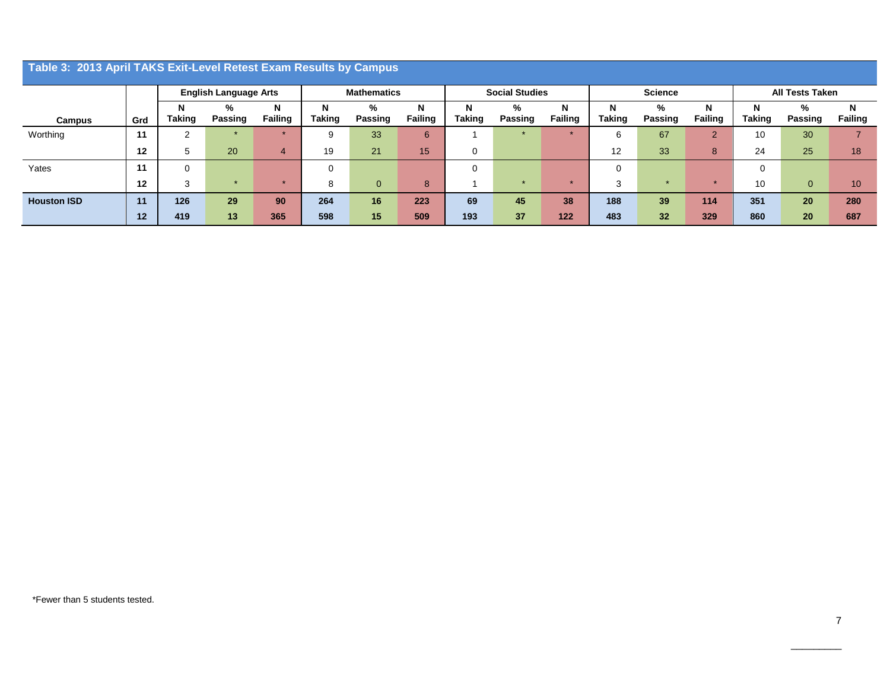|                    | Table 3: 2013 April TAKS Exit-Level Retest Exam Results by Campus |                              |         |                |                    |                |                |                       |         |                |                |         |                |                        |                |                |
|--------------------|-------------------------------------------------------------------|------------------------------|---------|----------------|--------------------|----------------|----------------|-----------------------|---------|----------------|----------------|---------|----------------|------------------------|----------------|----------------|
|                    |                                                                   |                              |         |                |                    |                |                |                       |         |                |                |         |                |                        |                |                |
|                    |                                                                   |                              |         |                |                    |                |                |                       |         |                |                |         |                |                        |                |                |
|                    |                                                                   | <b>English Language Arts</b> |         |                | <b>Mathematics</b> |                |                | <b>Social Studies</b> |         |                | <b>Science</b> |         |                | <b>All Tests Taken</b> |                |                |
|                    |                                                                   | N                            | ℅       | N              | N                  | %              | N              |                       | %       | N              | N              | %       | N              | N                      | %              | N              |
| Campus             | Grd                                                               | Taking                       | Passing | <b>Failing</b> | <b>Taking</b>      | Passing        | <b>Failing</b> | <b>Taking</b>         | Passing | <b>Failing</b> | <b>Taking</b>  | Passing | <b>Failing</b> | <b>Taking</b>          | <b>Passing</b> | <b>Failing</b> |
| Worthing           | 11                                                                | 2                            |         |                |                    | 33             | 6              |                       |         |                | 6              | 67      | 2              | 10                     | 30             |                |
|                    | 12                                                                | 5                            | 20      | $\overline{4}$ | 19                 | 21             | 15             | 0                     |         |                | 12             | 33      | 8              | 24                     | 25             | 18             |
| Yates              | 11                                                                | 0                            |         |                | 0                  |                |                | $\Omega$              |         |                | 0              |         |                | $\Omega$               |                |                |
|                    | 12                                                                | 3                            | $\star$ |                | o                  | $\overline{0}$ | 8              |                       |         |                | 3              | $\star$ | $\star$        | 10                     | $\overline{0}$ | 10             |
| <b>Houston ISD</b> | 11                                                                | 126                          | 29      | 90             | 264                | 16             | 223            | 69                    | 45      | 38             | 188            | 39      | 114            | 351                    | 20             | 280            |
|                    | 12                                                                | 419                          | 13      | 365            | 598                | 15             | 509            | 193                   | 37      | 122            | 483            | 32      | 329            | 860                    | 20             | 687            |